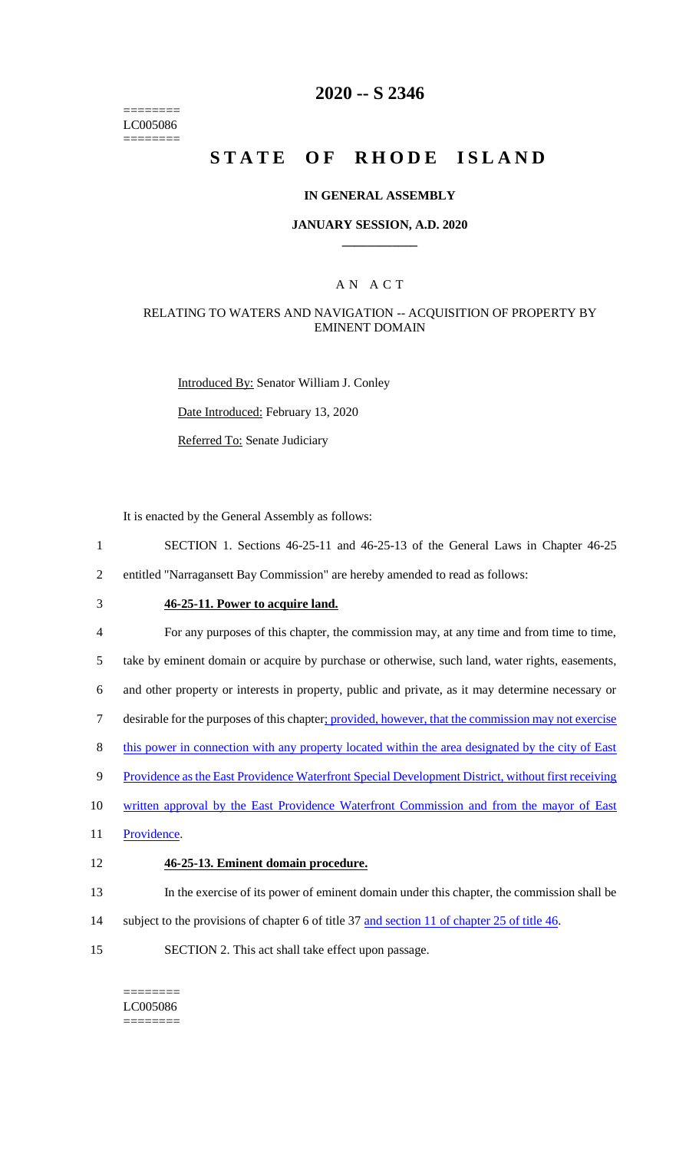======== LC005086 ========

# **2020 -- S 2346**

# **STATE OF RHODE ISLAND**

### **IN GENERAL ASSEMBLY**

### **JANUARY SESSION, A.D. 2020 \_\_\_\_\_\_\_\_\_\_\_\_**

### A N A C T

### RELATING TO WATERS AND NAVIGATION -- ACQUISITION OF PROPERTY BY EMINENT DOMAIN

Introduced By: Senator William J. Conley

Date Introduced: February 13, 2020

Referred To: Senate Judiciary

It is enacted by the General Assembly as follows:

- 1 SECTION 1. Sections 46-25-11 and 46-25-13 of the General Laws in Chapter 46-25
- 2 entitled "Narragansett Bay Commission" are hereby amended to read as follows:
- 

# 3 **46-25-11. Power to acquire land.**

4 For any purposes of this chapter, the commission may, at any time and from time to time,

5 take by eminent domain or acquire by purchase or otherwise, such land, water rights, easements,

6 and other property or interests in property, public and private, as it may determine necessary or

7 desirable for the purposes of this chapter; provided, however, that the commission may not exercise

- 8 this power in connection with any property located within the area designated by the city of East
- 9 Providence as the East Providence Waterfront Special Development District, without first receiving
- 10 written approval by the East Providence Waterfront Commission and from the mayor of East
- 11 Providence.
- 12 **46-25-13. Eminent domain procedure.**
- 13 In the exercise of its power of eminent domain under this chapter, the commission shall be
- 14 subject to the provisions of chapter 6 of title 37 and section 11 of chapter 25 of title 46.
- 15 SECTION 2. This act shall take effect upon passage.

======== LC005086 ========